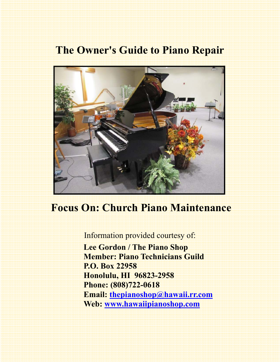## **The Owner's Guide to Piano Repair**



# **Focus On: Church Piano Maintenance**

Information provided courtesy of:  **Lee Gordon / The Piano Shop Member: Piano Technicians Guild P.O. Box 22958 Honolulu, HI 96823-2958 Phone: (808)722-0618 Email: thepianoshop@hawaii.rr.com Web: www.hawaiipianoshop.com**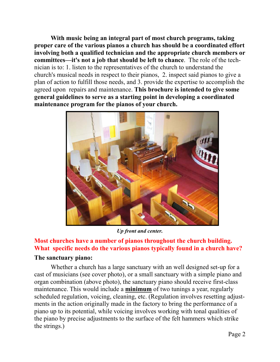**With music being an integral part of most church programs, taking proper care of the various pianos a church has should be a coordinated effort involving both a qualified technician and the appropriate church members or committees—it's not a job that should be left to chance**. The role of the technician is to: 1. listen to the representatives of the church to understand the church's musical needs in respect to their pianos, 2. inspect said pianos to give a plan of action to fulfill those needs, and 3. provide the expertise to accomplish the agreed upon repairs and maintenance. **This brochure is intended to give some general guidelines to serve as a starting point in developing a coordinated maintenance program for the pianos of your church.** 



*Up front and center.* 

### **Most churches have a number of pianos throughout the church building. What specific needs do the various pianos typically found in a church have?**

#### **The sanctuary piano:**

 Whether a church has a large sanctuary with an well designed set-up for a cast of musicians (see cover photo), or a small sanctuary with a simple piano and organ combination (above photo), the sanctuary piano should receive first-class maintenance. This would include a **minimum** of two tunings a year, regularly scheduled regulation, voicing, cleaning, etc. (Regulation involves resetting adjustments in the action originally made in the factory to bring the performance of a piano up to its potential, while voicing involves working with tonal qualities of the piano by precise adjustments to the surface of the felt hammers which strike the strings.)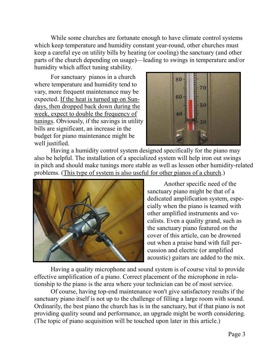While some churches are fortunate enough to have climate control systems which keep temperature and humidity constant year-round, other churches must keep a careful eye on utility bills by heating (or cooling) the sanctuary (and other parts of the church depending on usage)—leading to swings in temperature and/or humidity which affect tuning stability.

 For sanctuary pianos in a church where temperature and humidity tend to vary, more frequent maintenance may be expected. If the heat is turned up on Sundays, then dropped back down during the week, expect to double the frequency of tunings. Obviously, if the savings in utility bills are significant, an increase in the budget for piano maintenance might be well justified.



 Having a humidity control system designed specifically for the piano may also be helpful. The installation of a specialized system will help iron out swings in pitch and should make tunings more stable as well as lessen other humidity-related problems. (This type of system is also useful for other pianos of a church.)



 Another specific need of the sanctuary piano might be that of a dedicated amplification system, especially when the piano is teamed with other amplified instruments and vocalists. Even a quality grand, such as the sanctuary piano featured on the cover of this article, can be drowned out when a praise band with full percussion and electric (or amplified acoustic) guitars are added to the mix.

 Having a quality microphone and sound system is of course vital to provide effective amplification of a piano. Correct placement of the microphone in relationship to the piano is the area where your technician can be of most service.

 Of course, having top-end maintenance won't give satisfactory results if the sanctuary piano itself is not up to the challenge of filling a large room with sound. Ordinarily, the best piano the church has is in the sanctuary, but if that piano is not providing quality sound and performance, an upgrade might be worth considering. (The topic of piano acquisition will be touched upon later in this article.)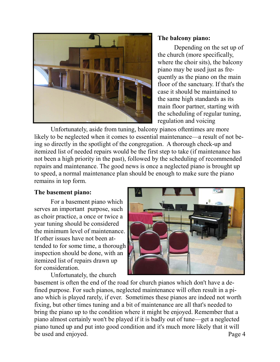

#### **The balcony piano:**

 Depending on the set up of the church (more specifically, where the choir sits), the balcony piano may be used just as frequently as the piano on the main floor of the sanctuary. If that's the case it should be maintained to the same high standards as its main floor partner, starting with the scheduling of regular tuning, regulation and voicing

 Unfortunately, aside from tuning, balcony pianos oftentimes are more likely to be neglected when it comes to essential maintenance—a result of not being so directly in the spotlight of the congregation. A thorough check-up and itemized list of needed repairs would be the first step to take (if maintenance has not been a high priority in the past), followed by the scheduling of recommended repairs and maintenance. The good news is once a neglected piano is brought up to speed, a normal maintenance plan should be enough to make sure the piano remains in top form.

#### **The basement piano:**

 For a basement piano which serves an important purpose, such as choir practice, a once or twice a year tuning should be considered the minimum level of maintenance. If other issues have not been attended to for some time, a thorough inspection should be done, with an itemized list of repairs drawn up for consideration.

Unfortunately, the church



Page 4 basement is often the end of the road for church pianos which don't have a defined purpose. For such pianos, neglected maintenance will often result in a piano which is played rarely, if ever. Sometimes these pianos are indeed not worth fixing, but other times tuning and a bit of maintenance are all that's needed to bring the piano up to the condition where it might be enjoyed. Remember that a piano almost certainly won't be played if it is badly out of tune—get a neglected piano tuned up and put into good condition and it's much more likely that it will be used and enjoyed.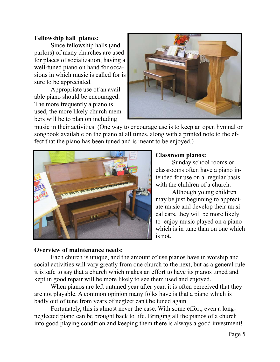#### **Fellowship hall pianos:**

 Since fellowship halls (and parlors) of many churches are used for places of socialization, having a well-tuned piano on hand for occasions in which music is called for is sure to be appreciated.

 Appropriate use of an available piano should be encouraged. The more frequently a piano is used, the more likely church members will be to plan on including



music in their activities. (One way to encourage use is to keep an open hymnal or songbook available on the piano at all times, along with a printed note to the effect that the piano has been tuned and is meant to be enjoyed.)



#### **Classroom pianos:**

 Sunday school rooms or classrooms often have a piano intended for use on a regular basis with the children of a church.

 Although young children may be just beginning to appreciate music and develop their musical ears, they will be more likely to enjoy music played on a piano which is in tune than on one which is not.

#### **Overview of maintenance needs:**

 Each church is unique, and the amount of use pianos have in worship and social activities will vary greatly from one church to the next, but as a general rule it is safe to say that a church which makes an effort to have its pianos tuned and kept in good repair will be more likely to see them used and enjoyed.

When pianos are left untuned year after year, it is often perceived that they are not playable. A common opinion many folks have is that a piano which is badly out of tune from years of neglect can't be tuned again.

 Fortunately, this is almost never the case. With some effort, even a longneglected piano can be brought back to life. Bringing all the pianos of a church into good playing condition and keeping them there is always a good investment!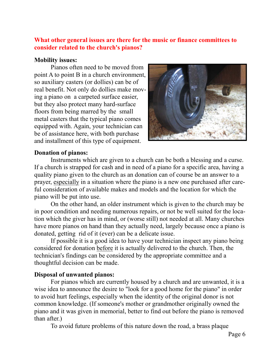#### **What other general issues are there for the music or finance committees to consider related to the church's pianos?**

#### **Mobility issues:**

Pianos often need to be moved from point A to point B in a church environment, so auxiliary casters (or dollies) can be of real benefit. Not only do dollies make moving a piano on a carpeted surface easier, but they also protect many hard-surface floors from being marred by the small metal casters that the typical piano comes equipped with. Again, your technician can be of assistance here, with both purchase and installment of this type of equipment.



#### **Donation of pianos:**

Instruments which are given to a church can be both a blessing and a curse. If a church is strapped for cash and in need of a piano for a specific area, having a quality piano given to the church as an donation can of course be an answer to a prayer, especially in a situation where the piano is a new one purchased after careful consideration of available makes and models and the location for which the piano will be put into use.

 On the other hand, an older instrument which is given to the church may be in poor condition and needing numerous repairs, or not be well suited for the location which the giver has in mind, or (worse still) not needed at all. Many churches have more pianos on hand than they actually need, largely because once a piano is donated, getting rid of it (ever) can be a delicate issue.

 If possible it is a good idea to have your technician inspect any piano being considered for donation before it is actually delivered to the church. Then, the technician's findings can be considered by the appropriate committee and a thoughtful decision can be made.

#### **Disposal of unwanted pianos:**

 For pianos which are currently housed by a church and are unwanted, it is a wise idea to announce the desire to "look for a good home for the piano" in order to avoid hurt feelings, especially when the identity of the original donor is not common knowledge. (If someone's mother or grandmother originally owned the piano and it was given in memorial, better to find out before the piano is removed than after.)

To avoid future problems of this nature down the road, a brass plaque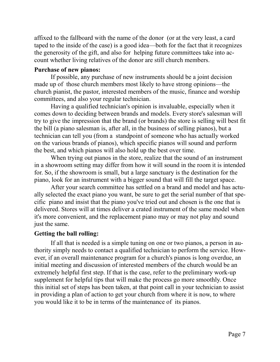affixed to the fallboard with the name of the donor (or at the very least, a card taped to the inside of the case) is a good idea—both for the fact that it recognizes the generosity of the gift, and also for helping future committees take into account whether living relatives of the donor are still church members.

#### **Purchase of new pianos:**

If possible, any purchase of new instruments should be a joint decision made up of those church members most likely to have strong opinions—the church pianist, the pastor, interested members of the music, finance and worship committees, and also your regular technician.

 Having a qualified technician's opinion is invaluable, especially when it comes down to deciding between brands and models. Every store's salesman will try to give the impression that the brand (or brands) the store is selling will best fit the bill (a piano salesman is, after all, in the business of selling pianos), but a technician can tell you (from a standpoint of someone who has actually worked on the various brands of pianos), which specific pianos will sound and perform the best, and which pianos will also hold up the best over time.

 When trying out pianos in the store, realize that the sound of an instrument in a showroom setting may differ from how it will sound in the room it is intended for. So, if the showroom is small, but a large sanctuary is the destination for the piano, look for an instrument with a bigger sound that will fill the target space.

 After your search committee has settled on a brand and model and has actually selected the exact piano you want, be sure to get the serial number of that specific piano and insist that the piano you've tried out and chosen is the one that is delivered. Stores will at times deliver a crated instrument of the same model when it's more convenient, and the replacement piano may or may not play and sound just the same.

#### **Getting the ball rolling:**

If all that is needed is a simple tuning on one or two pianos, a person in authority simply needs to contact a qualified technician to perform the service. However, if an overall maintenance program for a church's pianos is long overdue, an initial meeting and discussion of interested members of the church would be an extremely helpful first step. If that is the case, refer to the preliminary work-up supplement for helpful tips that will make the process go more smoothly. Once this initial set of steps has been taken, at that point call in your technician to assist in providing a plan of action to get your church from where it is now, to where you would like it to be in terms of the maintenance of its pianos.